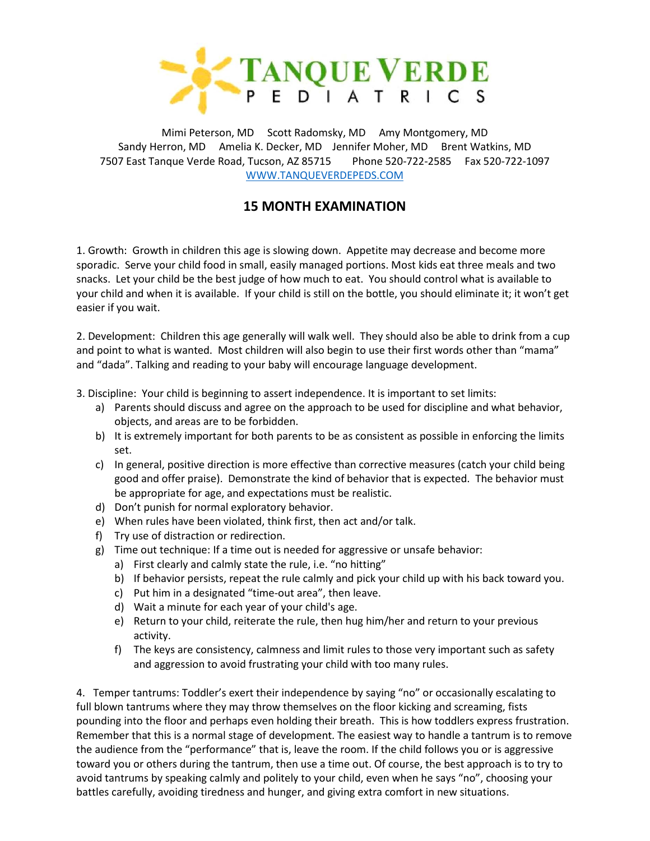

Mimi Peterson, MD Scott Radomsky, MD Amy Montgomery, MD Sandy Herron, MD Amelia K. Decker, MD Jennifer Moher, MD Brent Watkins, MD 7507 East Tanque Verde Road, Tucson, AZ 85715 Phone 520-722-2585 Fax 520-722-1097 [WWW.TANQUEVERDEPEDS.COM](http://www.tanqueverdepeds.com/)

## **15 MONTH EXAMINATION**

1. Growth: Growth in children this age is slowing down. Appetite may decrease and become more sporadic. Serve your child food in small, easily managed portions. Most kids eat three meals and two snacks. Let your child be the best judge of how much to eat. You should control what is available to your child and when it is available. If your child is still on the bottle, you should eliminate it; it won't get easier if you wait.

2. Development: Children this age generally will walk well. They should also be able to drink from a cup and point to what is wanted. Most children will also begin to use their first words other than "mama" and "dada". Talking and reading to your baby will encourage language development.

- 3. Discipline: Your child is beginning to assert independence. It is important to set limits:
	- a) Parents should discuss and agree on the approach to be used for discipline and what behavior, objects, and areas are to be forbidden.
	- b) It is extremely important for both parents to be as consistent as possible in enforcing the limits set.
	- c) In general, positive direction is more effective than corrective measures (catch your child being good and offer praise). Demonstrate the kind of behavior that is expected. The behavior must be appropriate for age, and expectations must be realistic.
	- d) Don't punish for normal exploratory behavior.
	- e) When rules have been violated, think first, then act and/or talk.
	- f) Try use of distraction or redirection.
	- g) Time out technique: If a time out is needed for aggressive or unsafe behavior:
		- a) First clearly and calmly state the rule, i.e. "no hitting"
		- b) If behavior persists, repeat the rule calmly and pick your child up with his back toward you.
		- c) Put him in a designated "time-out area", then leave.
		- d) Wait a minute for each year of your child's age.
		- e) Return to your child, reiterate the rule, then hug him/her and return to your previous activity.
		- f) The keys are consistency, calmness and limit rules to those very important such as safety and aggression to avoid frustrating your child with too many rules.

4. Temper tantrums: Toddler's exert their independence by saying "no" or occasionally escalating to full blown tantrums where they may throw themselves on the floor kicking and screaming, fists pounding into the floor and perhaps even holding their breath. This is how toddlers express frustration. Remember that this is a normal stage of development. The easiest way to handle a tantrum is to remove the audience from the "performance" that is, leave the room. If the child follows you or is aggressive toward you or others during the tantrum, then use a time out. Of course, the best approach is to try to avoid tantrums by speaking calmly and politely to your child, even when he says "no", choosing your battles carefully, avoiding tiredness and hunger, and giving extra comfort in new situations.